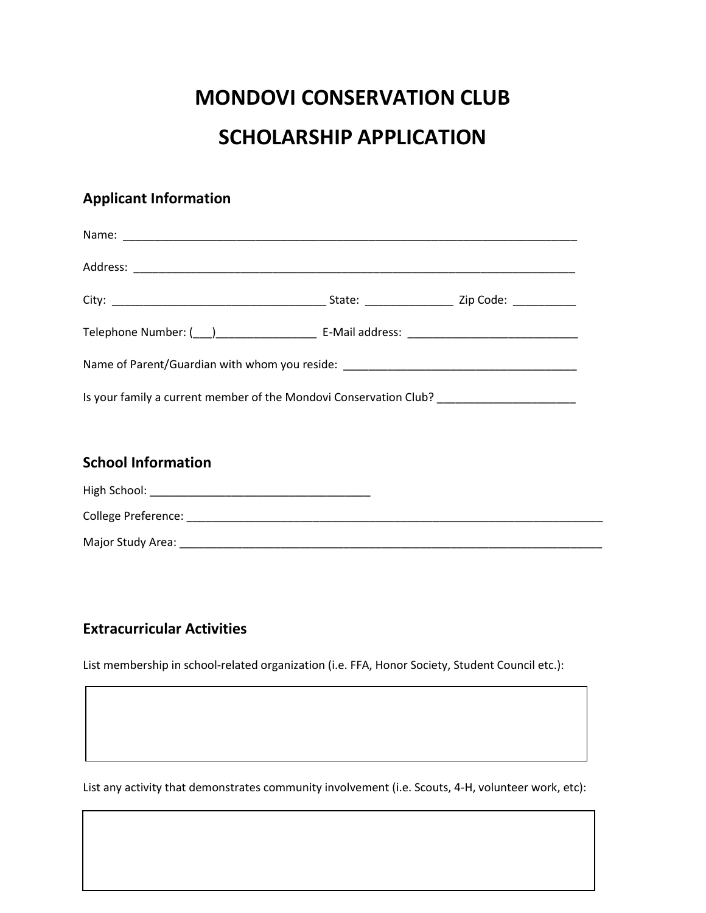# **MONDOVI CONSERVATION CLUB**

## **SCHOLARSHIP APPLICATION**

### **Applicant Information**

| Name of Parent/Guardian with whom you reside: __________________________________        |  |  |  |
|-----------------------------------------------------------------------------------------|--|--|--|
| Is your family a current member of the Mondovi Conservation Club? _____________________ |  |  |  |

#### **School Information**

| High School:               |  |
|----------------------------|--|
| <b>College Preference:</b> |  |
| Major Study Area:          |  |

#### **Extracurricular Activities**

List membership in school-related organization (i.e. FFA, Honor Society, Student Council etc.):

List any activity that demonstrates community involvement (i.e. Scouts, 4-H, volunteer work, etc):